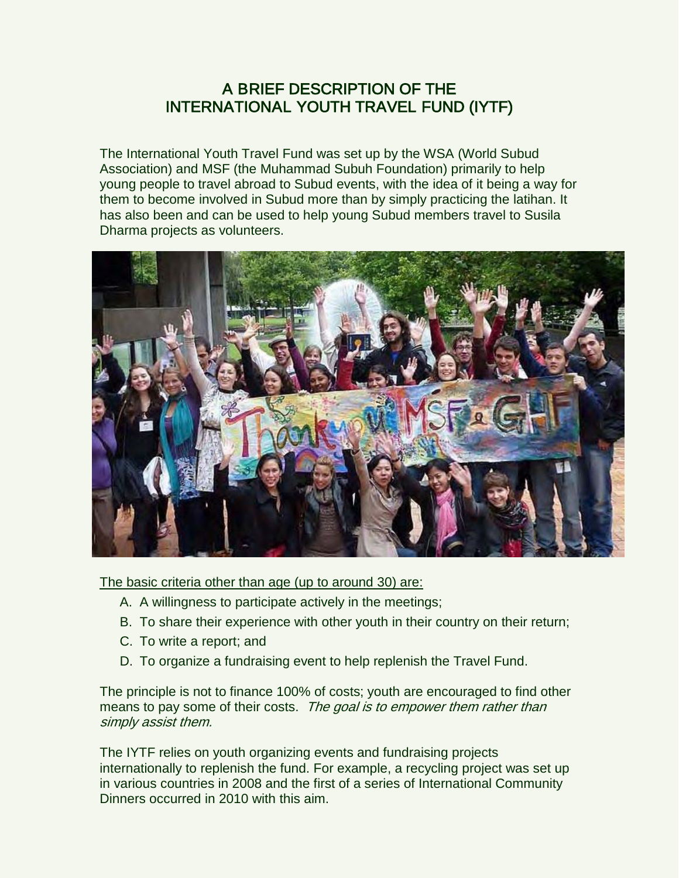## A BRIEF DESCRIPTION OF THE INTERNATIONAL YOUTH TRAVEL FUND (IYTF)

The International Youth Travel Fund was set up by the WSA (World Subud Association) and MSF (the Muhammad Subuh Foundation) primarily to help young people to travel abroad to Subud events, with the idea of it being a way for them to become involved in Subud more than by simply practicing the latihan. It has also been and can be used to help young Subud members travel to Susila Dharma projects as volunteers.



The basic criteria other than age (up to around 30) are:

- A. A willingness to participate actively in the meetings;
- B. To share their experience with other youth in their country on their return;
- C. To write a report; and
- D. To organize a fundraising event to help replenish the Travel Fund.

The principle is not to finance 100% of costs; youth are encouraged to find other means to pay some of their costs. The goal is to empower them rather than simply assist them.

The IYTF relies on youth organizing events and fundraising projects internationally to replenish the fund. For example, a recycling project was set up in various countries in 2008 and the first of a series of International Community Dinners occurred in 2010 with this aim.